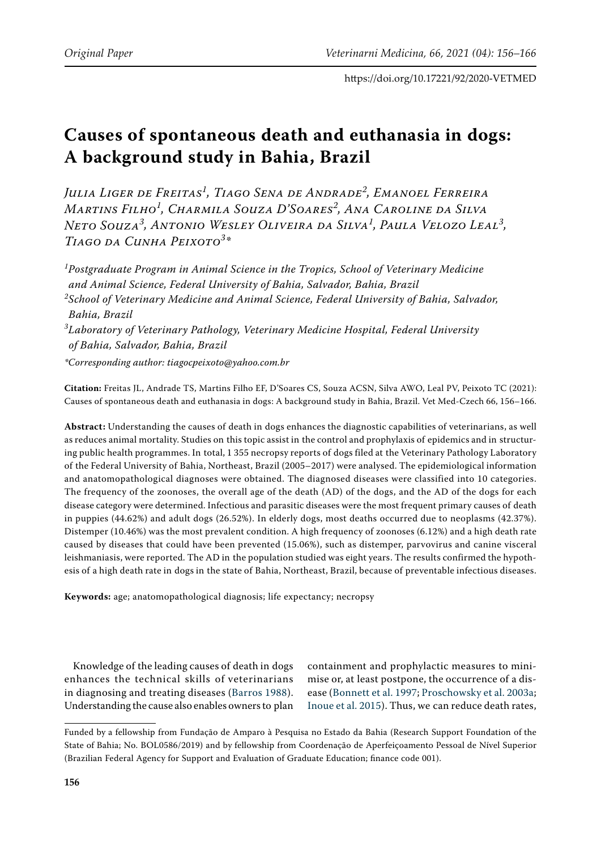# **Causes of spontaneous death and euthanasia in dogs: A background study in Bahia, Brazil**

*Julia Liger de Freitas<sup>1</sup> , Tiago Sena de Andrade<sup>2</sup> , Emanoel Ferreira Martins Filho<sup>1</sup> , Charmila Souza D'Soares<sup>2</sup> , Ana Caroline da Silva Neto Souza<sup>3</sup> , Antonio Wesley Oliveira da Silva<sup>1</sup> , Paula Velozo Leal<sup>3</sup> , Tiago da Cunha Peixoto<sup>3</sup> \**

*1 Postgraduate Program in Animal Science in the Tropics, School of Veterinary Medicine and Animal Science, Federal University of Bahia, Salvador, Bahia, Brazil 2 School of Veterinary Medicine and Animal Science, Federal University of Bahia, Salvador, Bahia, Brazil 3 Laboratory of Veterinary Pathology, Veterinary Medicine Hospital, Federal University*

*of Bahia, Salvador, Bahia, Brazil*

*\*Corresponding author: tiagocpeixoto@yahoo.com.br*

**Citation:** Freitas JL, Andrade TS, Martins Filho EF, D'Soares CS, Souza ACSN, Silva AWO, Leal PV, Peixoto TC (2021): Causes of spontaneous death and euthanasia in dogs: A background study in Bahia, Brazil. Vet Med-Czech 66, 156–166.

**Abstract:** Understanding the causes of death in dogs enhances the diagnostic capabilities of veterinarians, as well as reduces animal mortality. Studies on this topic assist in the control and prophylaxis of epidemics and in structuring public health programmes. In total, 1 355 necropsy reports of dogs filed at the Veterinary Pathology Laboratory of the Federal University of Bahia, Northeast, Brazil (2005–2017) were analysed. The epidemiological information and anatomopathological diagnoses were obtained. The diagnosed diseases were classified into 10 categories. The frequency of the zoonoses, the overall age of the death (AD) of the dogs, and the AD of the dogs for each disease category were determined. Infectious and parasitic diseases were the most frequent primary causes of death in puppies (44.62%) and adult dogs (26.52%). In elderly dogs, most deaths occurred due to neoplasms (42.37%). Distemper (10.46%) was the most prevalent condition. A high frequency of zoonoses (6.12%) and a high death rate caused by diseases that could have been prevented (15.06%), such as distemper, parvovirus and canine visceral leishmaniasis, were reported. The AD in the population studied was eight years. The results confirmed the hypothesis of a high death rate in dogs in the state of Bahia, Northeast, Brazil, because of preventable infectious diseases.

**Keywords:** age; anatomopathological diagnosis; life expectancy; necropsy

Knowledge of the leading causes of death in dogs enhances the technical skills of veterinarians in diagnosing and treating diseases ([Barros 1988\)](#page-8-1). Understanding the cause also enables owners to plan

containment and prophylactic measures to minimise or, at least postpone, the occurrence of a disease ([Bonnett et al. 1997](#page-8-0); Proschowsky et al. 2003a; [Inoue et al. 2015\)](#page-9-0). Thus, we can reduce death rates,

Funded by a fellowship from Fundação de Amparo à Pesquisa no Estado da Bahia (Research Support Foundation of the State of Bahia; No. BOL0586/2019) and by fellowship from Coordenação de Aperfeiçoamento Pessoal de Nível Superior (Brazilian Federal Agency for Support and Evaluation of Graduate Education; finance code 001).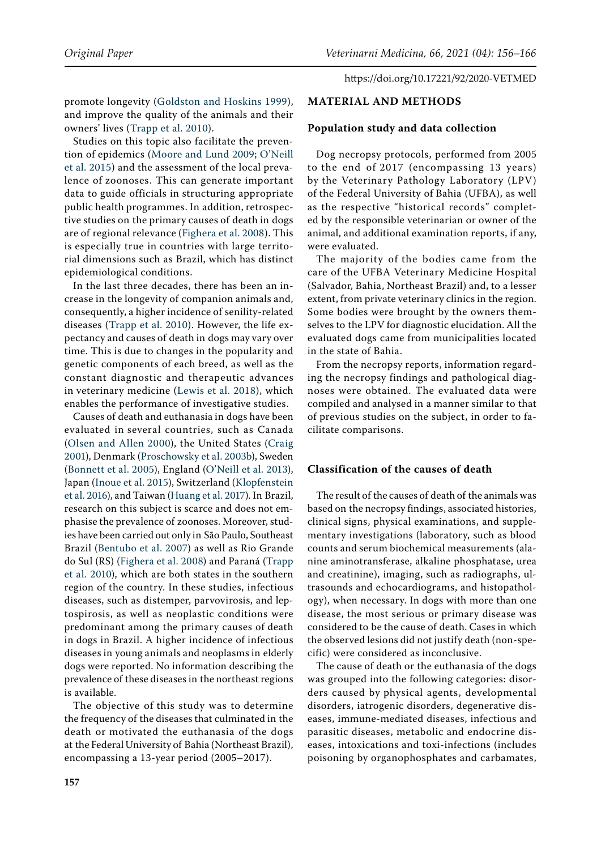promote longevity ([Goldston and Hoskins 1999](#page-9-1)), and improve the quality of the animals and their owners' lives (Trapp et al. 2010).

Studies on this topic also facilitate the prevention of epidemics ([Moore and Lund 2009](#page-9-2); O'Neill et al. 2015) and the assessment of the local prevalence of zoonoses. This can generate important data to guide officials in structuring appropriate public health programmes. In addition, retrospective studies on the primary causes of death in dogs are of regional relevance [\(Fighera et al. 2008\)](#page-9-3). This is especially true in countries with large territorial dimensions such as Brazil, which has distinct epidemiological conditions.

In the last three decades, there has been an increase in the longevity of companion animals and, consequently, a higher incidence of senility-related diseases (Trapp et al. 2010). However, the life expectancy and causes of death in dogs may vary over time. This is due to changes in the popularity and genetic components of each breed, as well as the constant diagnostic and therapeutic advances in veterinary medicine ([Lewis et al. 2018](#page-9-4)), which enables the performance of investigative studies.

Causes of death and euthanasia in dogs have been evaluated in several countries, such as Canada [\(Olsen and Allen 2000\)](#page-9-5), the United States ([Craig](#page-8-2)  [2001\)](#page-8-2), Denmark (Proschowsky et al. 2003b), Sweden [\(Bonnett et al. 2005\)](#page-8-3), England (O'Neill et al. 2013), Japan [\(Inoue et al. 2015\)](#page-9-0), Switzerland [\(Klopfenstein](#page-9-6)  [et al. 2016](#page-9-6)), and Taiwan [\(Huang et al. 2017\)](#page-9-7). In Brazil, research on this subject is scarce and does not emphasise the prevalence of zoonoses. Moreover, studies have been carried out only in São Paulo, Southeast Brazil [\(Bentubo et al. 2007\)](#page-8-4) as well as Rio Grande do Sul (RS) [\(Fighera et al. 2008](#page-9-3)) and Paraná (Trapp et al. 2010), which are both states in the southern region of the country. In these studies, infectious diseases, such as distemper, parvovirosis, and leptospirosis, as well as neoplastic conditions were predominant among the primary causes of death in dogs in Brazil. A higher incidence of infectious diseases in young animals and neoplasms in elderly dogs were reported. No information describing the prevalence of these diseases in the northeast regions is available.

The objective of this study was to determine the frequency of the diseases that culminated in the death or motivated the euthanasia of the dogs at the Federal University of Bahia (Northeast Brazil), encompassing a 13-year period (2005–2017).

## **MATERIAL AND METHODS**

# **Population study and data collection**

Dog necropsy protocols, performed from 2005 to the end of 2017 (encompassing 13 years) by the Veterinary Pathology Laboratory (LPV) of the Federal University of Bahia (UFBA), as well as the respective "historical records" completed by the responsible veterinarian or owner of the animal, and additional examination reports, if any, were evaluated.

The majority of the bodies came from the care of the UFBA Veterinary Medicine Hospital (Salvador, Bahia, Northeast Brazil) and, to a lesser extent, from private veterinary clinics in the region. Some bodies were brought by the owners themselves to the LPV for diagnostic elucidation. All the evaluated dogs came from municipalities located in the state of Bahia.

From the necropsy reports, information regarding the necropsy findings and pathological diagnoses were obtained. The evaluated data were compiled and analysed in a manner similar to that of previous studies on the subject, in order to facilitate comparisons.

## **Classification of the causes of death**

The result of the causes of death of the animals was based on the necropsy findings, associated histories, clinical signs, physical examinations, and supplementary investigations (laboratory, such as blood counts and serum biochemical measurements (alanine aminotransferase, alkaline phosphatase, urea and creatinine), imaging, such as radiographs, ultrasounds and echocardiograms, and histopathology), when necessary. In dogs with more than one disease, the most serious or primary disease was considered to be the cause of death. Cases in which the observed lesions did not justify death (non-specific) were considered as inconclusive.

The cause of death or the euthanasia of the dogs was grouped into the following categories: disorders caused by physical agents, developmental disorders, iatrogenic disorders, degenerative diseases, immune-mediated diseases, infectious and parasitic diseases, metabolic and endocrine diseases, intoxications and toxi-infections (includes poisoning by organophosphates and carbamates,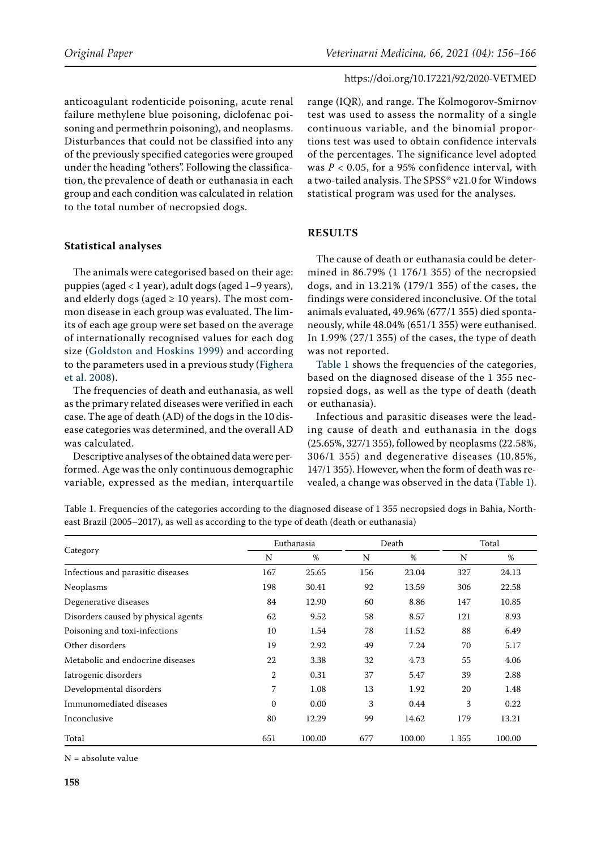anticoagulant rodenticide poisoning, acute renal failure methylene blue poisoning, diclofenac poisoning and permethrin poisoning), and neoplasms. Disturbances that could not be classified into any of the previously specified categories were grouped under the heading "others". Following the classification, the prevalence of death or euthanasia in each group and each condition was calculated in relation to the total number of necropsied dogs.

# **Statistical analyses**

The animals were categorised based on their age: puppies (aged < 1 year), adult dogs (aged 1–9 years), and elderly dogs (aged  $\geq 10$  years). The most common disease in each group was evaluated. The limits of each age group were set based on the average of internationally recognised values for each dog size ([Goldston and Hoskins 1999](#page-9-1)) and according to the parameters used in a previous study ([Fighera](#page-9-3)  [et al. 2008\)](#page-9-3).

The frequencies of death and euthanasia, as well as the primary related diseases were verified in each case. The age of death (AD) of the dogs in the 10 disease categories was determined, and the overall AD was calculated.

Descriptive analyses of the obtained data were performed. Age was the only continuous demographic variable, expressed as the median, interquartile range (IQR), and range. The Kolmogorov-Smirnov test was used to assess the normality of a single continuous variable, and the binomial proportions test was used to obtain confidence intervals of the percentages. The significance level adopted was *P* < 0.05, for a 95% confidence interval, with a two-tailed analysis. The SPSS® v21.0 for Windows statistical program was used for the analyses.

# **RESULTS**

The cause of death or euthanasia could be determined in 86.79% (1 176/1 355) of the necropsied dogs, and in 13.21% (179/1 355) of the cases, the findings were considered inconclusive. Of the total animals evaluated, 49.96% (677/1 355) died spontaneously, while 48.04% (651/1 355) were euthanised. In 1.99% (27/1 355) of the cases, the type of death was not reported.

Table 1 shows the frequencies of the categories, based on the diagnosed disease of the 1 355 necropsied dogs, as well as the type of death (death or euthanasia).

Infectious and parasitic diseases were the leading cause of death and euthanasia in the dogs (25.65%, 327/1 355), followed by neoplasms (22.58%, 306/1 355) and degenerative diseases (10.85%, 147/1 355). However, when the form of death was revealed, a change was observed in the data (Table 1).

Table 1. Frequencies of the categories according to the diagnosed disease of 1 355 necropsied dogs in Bahia, Northeast Brazil (2005–2017), as well as according to the type of death (death or euthanasia)

| Category                            | Euthanasia   |        | Death |        | Total   |        |
|-------------------------------------|--------------|--------|-------|--------|---------|--------|
|                                     | N            | %      | N     | %      | N       | %      |
| Infectious and parasitic diseases   | 167          | 25.65  | 156   | 23.04  | 327     | 24.13  |
| Neoplasms                           | 198          | 30.41  | 92    | 13.59  | 306     | 22.58  |
| Degenerative diseases               | 84           | 12.90  | 60    | 8.86   | 147     | 10.85  |
| Disorders caused by physical agents | 62           | 9.52   | 58    | 8.57   | 121     | 8.93   |
| Poisoning and toxi-infections       | 10           | 1.54   | 78    | 11.52  | 88      | 6.49   |
| Other disorders                     | 19           | 2.92   | 49    | 7.24   | 70      | 5.17   |
| Metabolic and endocrine diseases    | 22           | 3.38   | 32    | 4.73   | 55      | 4.06   |
| Iatrogenic disorders                | 2            | 0.31   | 37    | 5.47   | 39      | 2.88   |
| Developmental disorders             | 7            | 1.08   | 13    | 1.92   | 20      | 1.48   |
| Immunomediated diseases             | $\mathbf{0}$ | 0.00   | 3     | 0.44   | 3       | 0.22   |
| Inconclusive                        | 80           | 12.29  | 99    | 14.62  | 179     | 13.21  |
| Total                               | 651          | 100.00 | 677   | 100.00 | 1 3 5 5 | 100.00 |

 $N =$ absolute value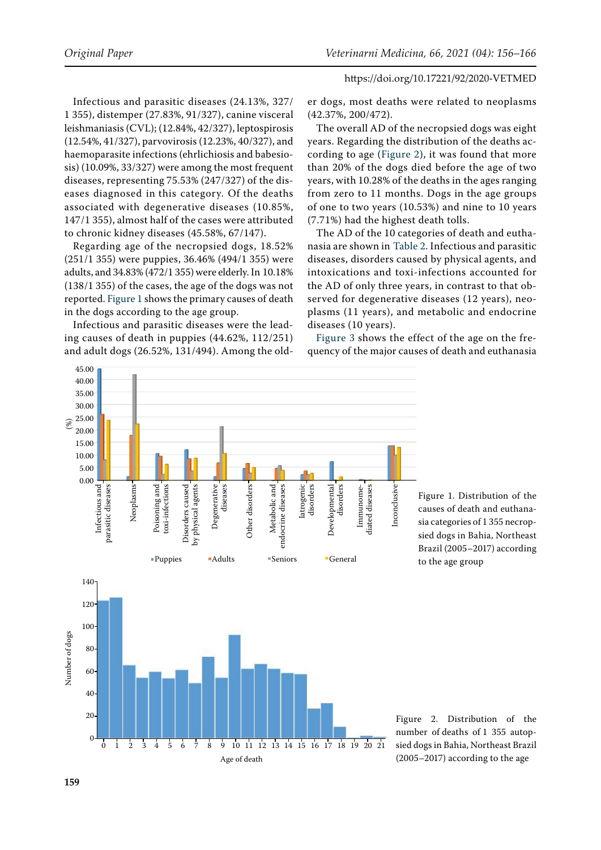Infectious and parasitic diseases (24.13%, 327/ 1 355), distemper (27.83%, 91/327), canine visceral leishmaniasis (CVL); (12.84%, 42/327), leptospirosis (12.54%, 41/327), parvovirosis (12.23%, 40/327), and haemoparasite infections (ehrlichiosis and babesiosis) (10.09%, 33/327) were among the most frequent diseases, representing 75.53% (247/327) of the diseases diagnosed in this category. Of the deaths associated with degenerative diseases (10.85%, 147/1 355), almost half of the cases were attributed to chronic kidney diseases (45.58%, 67/147).

Regarding age of the necropsied dogs, 18.52% (251/1 355) were puppies, 36.46% (494/1 355) were adults, and 34.83% (472/1 355) were elderly. In 10.18% (138/1 355) of the cases, the age of the dogs was not reported. [Figure 1](#page-3-0) shows the primary causes of death in the dogs according to the age group.

Infectious and parasitic diseases were the leading causes of death in puppies (44.62%, 112/251) and adult dogs (26.52%, 131/494). Among the old-

er dogs, most deaths were related to neoplasms (42.37%, 200/472).

The overall AD of the necropsied dogs was eight years. Regarding the distribution of the deaths according to age ([Figure 2\)](#page-3-1), it was found that more than 20% of the dogs died before the age of two years, with 10.28% of the deaths in the ages ranging from zero to 11 months. Dogs in the age groups of one to two years (10.53%) and nine to 10 years (7.71%) had the highest death tolls.

The AD of the 10 categories of death and euthanasia are shown in Table 2. Infectious and parasitic diseases, disorders caused by physical agents, and intoxications and toxi-infections accounted for the AD of only three years, in contrast to that observed for degenerative diseases (12 years), neoplasms (11 years), and metabolic and endocrine diseases (10 years).

[Figure 3 s](#page-4-0)hows the effect of the age on the frequency of the major causes of death and euthanasia

<span id="page-3-1"></span><span id="page-3-0"></span>



Figure 1. Distribution of the causes of death and euthana-

sied dogs in Bahia, Northeast Brazil (2005–2017) according

to the age group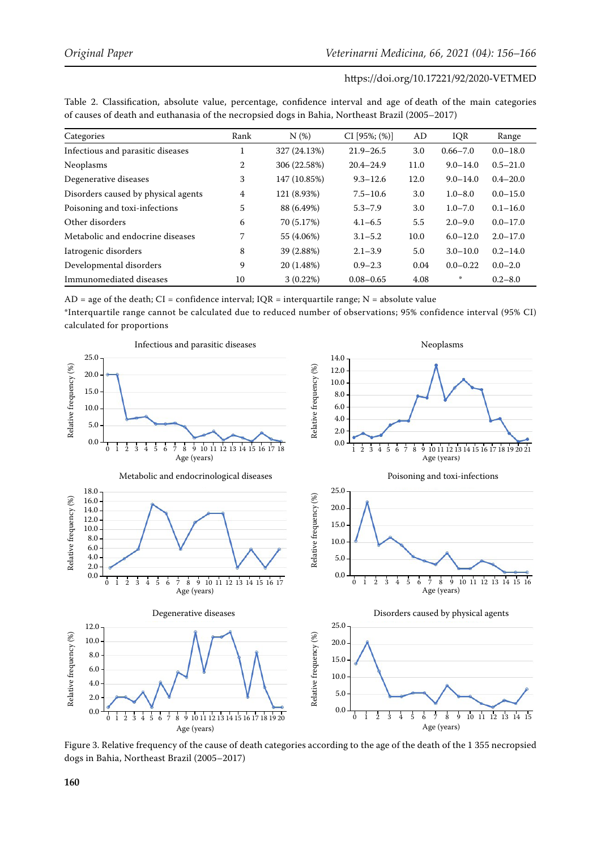| Categories                          | Rank | N(%)         | $CI [95\%; (\%)]$ | AD   | <b>IQR</b>   | Range        |
|-------------------------------------|------|--------------|-------------------|------|--------------|--------------|
| Infectious and parasitic diseases   |      | 327 (24.13%) | $21.9 - 26.5$     | 3.0  | $0.66 - 7.0$ | $0.0 - 18.0$ |
| Neoplasms                           | 2    | 306 (22.58%) | $20.4 - 24.9$     | 11.0 | $9.0 - 14.0$ | $0.5 - 21.0$ |
| Degenerative diseases               | 3    | 147 (10.85%) | $9.3 - 12.6$      | 12.0 | $9.0 - 14.0$ | $0.4 - 20.0$ |
| Disorders caused by physical agents | 4    | 121 (8.93%)  | $7.5 - 10.6$      | 3.0  | $1.0 - 8.0$  | $0.0 - 15.0$ |
| Poisoning and toxi-infections       | 5    | 88 (6.49%)   | $5.3 - 7.9$       | 3.0  | $1.0 - 7.0$  | $0.1 - 16.0$ |
| Other disorders                     | 6    | 70 (5.17%)   | $4.1 - 6.5$       | 5.5  | $2.0 - 9.0$  | $0.0 - 17.0$ |
| Metabolic and endocrine diseases    | 7    | 55 (4.06%)   | $3.1 - 5.2$       | 10.0 | $6.0 - 12.0$ | $2.0 - 17.0$ |
| Iatrogenic disorders                | 8    | 39 (2.88%)   | $2.1 - 3.9$       | 5.0  | $3.0 - 10.0$ | $0.2 - 14.0$ |
| Developmental disorders             | 9    | 20 (1.48%)   | $0.9 - 2.3$       | 0.04 | $0.0 - 0.22$ | $0.0 - 2.0$  |
| Immunomediated diseases             | 10   | $3(0.22\%)$  | $0.08 - 0.65$     | 4.08 | 華            | $0.2 - 8.0$  |

Table 2. Classification, absolute value, percentage, confidence interval and age of death of the main categories of causes of death and euthanasia of the necropsied dogs in Bahia, Northeast Brazil (2005–2017)

 $AD = age$  of the death;  $CI = confidence$  interval;  $IQR =$  interquartile range;  $N = absolute$  value

\*Interquartile range cannot be calculated due to reduced number of observations; 95% confidence interval (95% CI) calculated for proportions

<span id="page-4-0"></span>

Figure 3. Relative frequency of the cause of death categories according to the age of the death of the 1 355 necropsied dogs in Bahia, Northeast Brazil (2005–2017)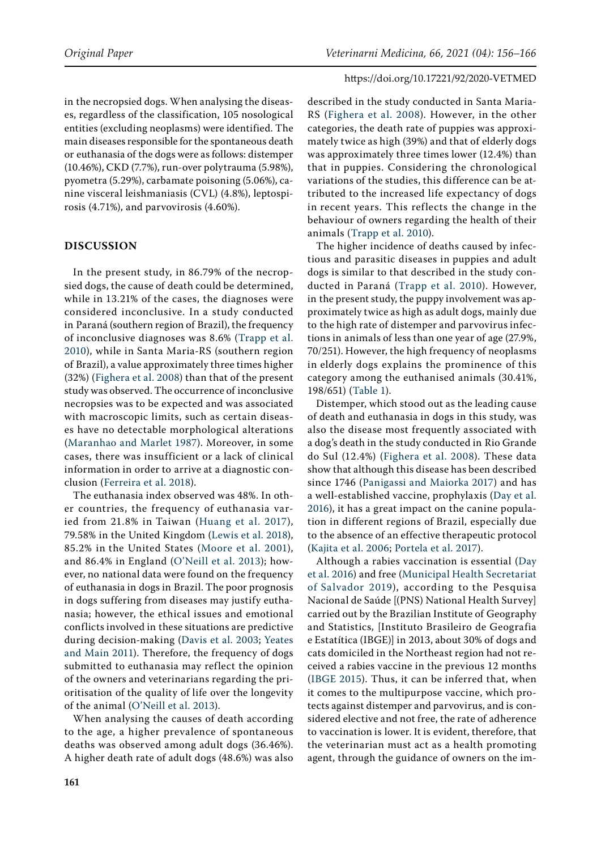in the necropsied dogs. When analysing the diseases, regardless of the classification, 105 nosological entities (excluding neoplasms) were identified. The main diseases responsible for the spontaneous death or euthanasia of the dogs were as follows: distemper (10.46%), CKD (7.7%), run-over polytrauma (5.98%), pyometra (5.29%), carbamate poisoning (5.06%), canine visceral leishmaniasis (CVL) (4.8%), leptospirosis (4.71%), and parvovirosis (4.60%).

# **DISCUSSION**

In the present study, in 86.79% of the necropsied dogs, the cause of death could be determined, while in 13.21% of the cases, the diagnoses were considered inconclusive. In a study conducted in Paraná (southern region of Brazil), the frequency of inconclusive diagnoses was 8.6% (Trapp et al. 2010), while in Santa Maria-RS (southern region of Brazil), a value approximately three times higher (32%) [\(Fighera et al. 2008\)](#page-9-3) than that of the present study was observed. The occurrence of inconclusive necropsies was to be expected and was associated with macroscopic limits, such as certain diseases have no detectable morphological alterations [\(Maranhao and Marlet 1987](#page-9-8)). Moreover, in some cases, there was insufficient or a lack of clinical information in order to arrive at a diagnostic conclusion ([Ferreira et al. 2018\)](#page-9-9).

The euthanasia index observed was 48%. In other countries, the frequency of euthanasia varied from 21.8% in Taiwan ([Huang et al. 2017](#page-9-7)), 79.58% in the United Kingdom ([Lewis et al. 2018\)](#page-9-4), 85.2% in the United States ([Moore et al. 2001\)](#page-9-10), and 86.4% in England (O'Neill et al. 2013); however, no national data were found on the frequency of euthanasia in dogs in Brazil. The poor prognosis in dogs suffering from diseases may justify euthanasia; however, the ethical issues and emotional conflicts involved in these situations are predictive during decision-making ([Davis et al. 2003](#page-8-5); Yeates and Main 2011). Therefore, the frequency of dogs submitted to euthanasia may reflect the opinion of the owners and veterinarians regarding the prioritisation of the quality of life over the longevity of the animal (O'Neill et al. 2013).

When analysing the causes of death according to the age, a higher prevalence of spontaneous deaths was observed among adult dogs (36.46%). A higher death rate of adult dogs (48.6%) was also

described in the study conducted in Santa Maria-RS ([Fighera et al. 2008](#page-9-3)). However, in the other categories, the death rate of puppies was approximately twice as high (39%) and that of elderly dogs was approximately three times lower (12.4%) than that in puppies. Considering the chronological variations of the studies, this difference can be attributed to the increased life expectancy of dogs in recent years. This reflects the change in the behaviour of owners regarding the health of their animals (Trapp et al. 2010).

The higher incidence of deaths caused by infectious and parasitic diseases in puppies and adult dogs is similar to that described in the study conducted in Paraná (Trapp et al. 2010). However, in the present study, the puppy involvement was approximately twice as high as adult dogs, mainly due to the high rate of distemper and parvovirus infections in animals of less than one year of age (27.9%, 70/251). However, the high frequency of neoplasms in elderly dogs explains the prominence of this category among the euthanised animals (30.41%, 198/651) (Table 1).

Distemper, which stood out as the leading cause of death and euthanasia in dogs in this study, was also the disease most frequently associated with a dog's death in the study conducted in Rio Grande do Sul (12.4%) ([Fighera et al. 2008\)](#page-9-3). These data show that although this disease has been described since 1746 (Panigassi and Maiorka 2017) and has a well-established vaccine, prophylaxis ([Day et al.](#page-8-6) [2016\)](#page-8-6), it has a great impact on the canine population in different regions of Brazil, especially due to the absence of an effective therapeutic protocol [\(Kajita et al. 2006;](#page-9-11) Portela et al. 2017).

Although a rabies vaccination is essential ([Day](#page-8-6) [et al. 2016\)](#page-8-6) and free [\(Municipal Health Secretariat](#page-9-12) of [Salvador 2019\)](#page-9-12), according to the Pesquisa Nacional de Saúde [(PNS) National Health Survey] carried out by the Brazilian Institute of Geography and Statistics*,* [Instituto Brasileiro de Geografia e Estatítica (IBGE)] in 2013, about 30% of dogs and cats domiciled in the Northeast region had not received a rabies vaccine in the previous 12 months [\(IBGE 2015](#page-9-13)). Thus, it can be inferred that, when it comes to the multipurpose vaccine, which protects against distemper and parvovirus, and is considered elective and not free, the rate of adherence to vaccination is lower. It is evident, therefore, that the veterinarian must act as a health promoting agent, through the guidance of owners on the im-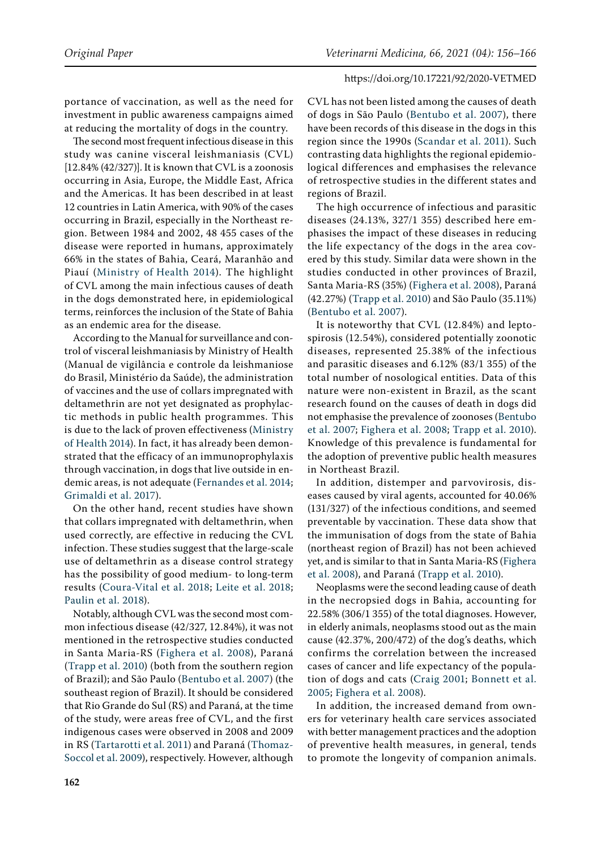portance of vaccination, as well as the need for investment in public awareness campaigns aimed at reducing the mortality of dogs in the country.

The second most frequent infectious disease in this study was canine visceral leishmaniasis (CVL) [12.84% (42/327)]. It is known that CVL is a zoonosis occurring in Asia, Europe, the Middle East, Africa and the Americas. It has been described in at least 12 countries in Latin America, with 90% of the cases occurring in Brazil, especially in the Northeast region. Between 1984 and 2002, 48 455 cases of the disease were reported in humans, approximately 66% in the states of Bahia, Ceará, Maranhão and Piauí (Ministry of [Health 2014](#page-9-14)). The highlight of CVL among the main infectious causes of death in the dogs demonstrated here, in epidemiological terms, reinforces the inclusion of the State of Bahia as an endemic area for the disease.

According to the Manual for surveillance and control of visceral leishmaniasis by Ministry of Health (Manual de vigilância e controle da leishmaniose do Brasil, Ministério da Saúde), the administration of vaccines and the use of collars impregnated with deltamethrin are not yet designated as prophylactic methods in public health programmes. This is due to the lack of proven effectiveness [\(Ministry](#page-9-14)  of [Health 2014\)](#page-9-14). In fact, it has already been demonstrated that the efficacy of an immunoprophylaxis through vaccination, in dogs that live outside in endemic areas, is not adequate ([Fernandes et al. 2014](#page-9-15); [Grimaldi et al. 2017\)](#page-9-16).

On the other hand, recent studies have shown that collars impregnated with deltamethrin, when used correctly, are effective in reducing the CVL infection. These studies suggest that the large-scale use of deltamethrin as a disease control strategy has the possibility of good medium- to long-term results ([Coura-Vital et al. 2018;](#page-8-7) [Leite et al. 2018](#page-9-17); Paulin et al. 2018).

Notably, although CVL was the second most common infectious disease (42/327, 12.84%), it was not mentioned in the retrospective studies conducted in Santa Maria-RS ([Fighera et al. 2008](#page-9-3)), Paraná (Trapp et al. 2010) (both from the southern region of Brazil); and São Paulo ([Bentubo et al. 2007](#page-8-4)) (the southeast region of Brazil). It should be considered that Rio Grande do Sul (RS) and Paraná, at the time of the study, were areas free of CVL, and the first indigenous cases were observed in 2008 and 2009 in RS (Tartarotti et al. 2011) and Paraná (Thomaz-Soccol et al. 2009), respectively. However, although

CVL has not been listed among the causes of death of dogs in São Paulo [\(Bentubo et al. 2007](#page-8-4)), there have been records of this disease in the dogs in this region since the 1990s (Scandar et al. 2011). Such contrasting data highlights the regional epidemiological differences and emphasises the relevance of retrospective studies in the different states and regions of Brazil.

The high occurrence of infectious and parasitic diseases (24.13%, 327/1 355) described here emphasises the impact of these diseases in reducing the life expectancy of the dogs in the area covered by this study. Similar data were shown in the studies conducted in other provinces of Brazil, Santa Maria-RS (35%) ([Fighera et al. 2008\)](#page-9-3), Paraná (42.27%) (Trapp et al. 2010) and São Paulo (35.11%) [\(Bentubo et al. 2007](#page-8-4)).

It is noteworthy that CVL (12.84%) and leptospirosis (12.54%), considered potentially zoonotic diseases, represented 25.38% of the infectious and parasitic diseases and 6.12% (83/1 355) of the total number of nosological entities. Data of this nature were non-existent in Brazil, as the scant research found on the causes of death in dogs did not emphasise the prevalence of zoonoses ([Bentubo](#page-8-4) [et al. 2007](#page-8-4); [Fighera et al. 2008](#page-9-3); Trapp et al. 2010). Knowledge of this prevalence is fundamental for the adoption of preventive public health measures in Northeast Brazil.

In addition, distemper and parvovirosis, diseases caused by viral agents, accounted for 40.06% (131/327) of the infectious conditions, and seemed preventable by vaccination. These data show that the immunisation of dogs from the state of Bahia (northeast region of Brazil) has not been achieved yet, and is similar to that in Santa Maria-RS ([Fighera](#page-9-3) [et al. 2008\)](#page-9-3), and Paraná (Trapp et al. 2010).

Neoplasms were the second leading cause of death in the necropsied dogs in Bahia, accounting for 22.58% (306/1 355) of the total diagnoses. However, in elderly animals, neoplasms stood out as the main cause (42.37%, 200/472) of the dog's deaths, which confirms the correlation between the increased cases of cancer and life expectancy of the population of dogs and cats ([Craig 2001](#page-8-2); [Bonnett et al.](#page-8-3) [2005](#page-8-3); [Fighera et al. 2008](#page-9-3)).

In addition, the increased demand from owners for veterinary health care services associated with better management practices and the adoption of preventive health measures, in general, tends to promote the longevity of companion animals.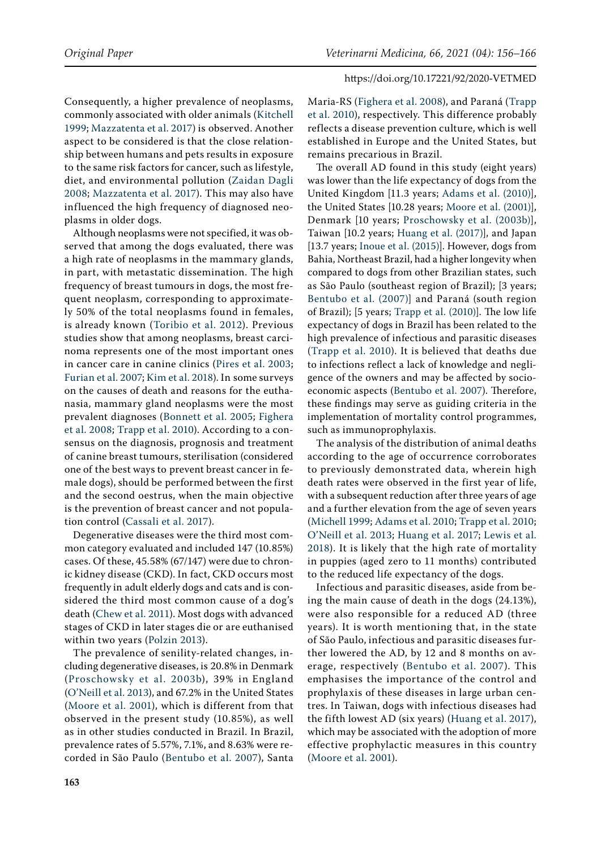Consequently, a higher prevalence of neoplasms, commonly associated with older animals ([Kitchell](#page-9-18)  [1999;](#page-9-18) [Mazzatenta et al. 2017\)](#page-9-19) is observed. Another aspect to be considered is that the close relationship between humans and pets results in exposure to the same risk factors for cancer, such as lifestyle, diet, and environmental pollution (Zaidan Dagli 2008; [Mazzatenta et al. 2017](#page-9-19)). This may also have influenced the high frequency of diagnosed neoplasms in older dogs.

Although neoplasms were not specified, it was observed that among the dogs evaluated, there was a high rate of neoplasms in the mammary glands, in part, with metastatic dissemination. The high frequency of breast tumours in dogs, the most frequent neoplasm, corresponding to approximately 50% of the total neoplasms found in females, is already known (Toribio et al. 2012). Previous studies show that among neoplasms, breast carcinoma represents one of the most important ones in cancer care in canine clinics (Pires et al. 2003; [Furian et al. 2007;](#page-9-20) [Kim et al. 2018\)](#page-9-21). In some surveys on the causes of death and reasons for the euthanasia, mammary gland neoplasms were the most prevalent diagnoses ([Bonnett et al. 2005;](#page-8-3) [Fighera](#page-9-3)  [et al. 2008](#page-9-3); Trapp et al. 2010). According to a consensus on the diagnosis, prognosis and treatment of canine breast tumours, sterilisation (considered one of the best ways to prevent breast cancer in female dogs), should be performed between the first and the second oestrus, when the main objective is the prevention of breast cancer and not population control [\(Cassali et al. 2017](#page-8-8)).

Degenerative diseases were the third most common category evaluated and included 147 (10.85%) cases. Of these, 45.58% (67/147) were due to chronic kidney disease (CKD). In fact, CKD occurs most frequently in adult elderly dogs and cats and is considered the third most common cause of a dog's death ([Chew et al. 2011\)](#page-8-9). Most dogs with advanced stages of CKD in later stages die or are euthanised within two years (Polzin 2013).

The prevalence of senility-related changes, including degenerative diseases, is 20.8% in Denmark (Proschowsky et al. 2003b), 39% in England (O'Neill et al. 2013), and 67.2% in the United States [\(Moore et al. 2001](#page-9-10)), which is different from that observed in the present study (10.85%), as well as in other studies conducted in Brazil. In Brazil, prevalence rates of 5.57%, 7.1%, and 8.63% were recorded in São Paulo ([Bentubo et al. 2007](#page-8-4)), Santa

Maria-RS ([Fighera et al. 2008](#page-9-3)), and Paraná (Trapp et al. 2010), respectively. This difference probably reflects a disease prevention culture, which is well established in Europe and the United States, but remains precarious in Brazil.

The overall AD found in this study (eight years) was lower than the life expectancy of dogs from the United Kingdom [11.3 years; [Adams et al. \(2010\)](#page-8-10)], the United States [10.28 years; [Moore et al. \(2001\)](#page-9-10)], Denmark [10 years; Proschowsky et al. (2003b)], Taiwan [10.2 years; [Huang et al. \(2017](#page-9-7))], and Japan [13.7 years; [Inoue et al. \(2015](#page-9-0))]. However, dogs from Bahia, Northeast Brazil, had a higher longevity when compared to dogs from other Brazilian states, such as São Paulo (southeast region of Brazil); [3 years; [Bentubo et al. \(2007\)](#page-8-4)] and Paraná (south region of Brazil); [5 years; Trapp et al. (2010)]. The low life expectancy of dogs in Brazil has been related to the high prevalence of infectious and parasitic diseases (Trapp et al. 2010). It is believed that deaths due to infections reflect a lack of knowledge and negligence of the owners and may be affected by socioeconomic aspects [\(Bentubo et al. 2007\)](#page-8-4). Therefore, these findings may serve as guiding criteria in the implementation of mortality control programmes, such as immunoprophylaxis.

The analysis of the distribution of animal deaths according to the age of occurrence corroborates to previously demonstrated data, wherein high death rates were observed in the first year of life, with a subsequent reduction after three years of age and a further elevation from the age of seven years [\(Michell 1999;](#page-9-22) [Adams et al. 2010](#page-8-10); Trapp et al. 2010; O'Neill et al. 2013; [Huang et al. 2017;](#page-9-7) [Lewis et al.](#page-9-4) [2018](#page-9-4)). It is likely that the high rate of mortality in puppies (aged zero to 11 months) contributed to the reduced life expectancy of the dogs.

Infectious and parasitic diseases, aside from being the main cause of death in the dogs (24.13%), were also responsible for a reduced AD (three years). It is worth mentioning that, in the state of São Paulo, infectious and parasitic diseases further lowered the AD, by 12 and 8 months on average, respectively ([Bentubo et al. 2007](#page-8-4)). This emphasises the importance of the control and prophylaxis of these diseases in large urban centres. In Taiwan, dogs with infectious diseases had the fifth lowest AD (six years) ([Huang et al. 2017\)](#page-9-7), which may be associated with the adoption of more effective prophylactic measures in this country [\(Moore et al. 2001](#page-9-10)).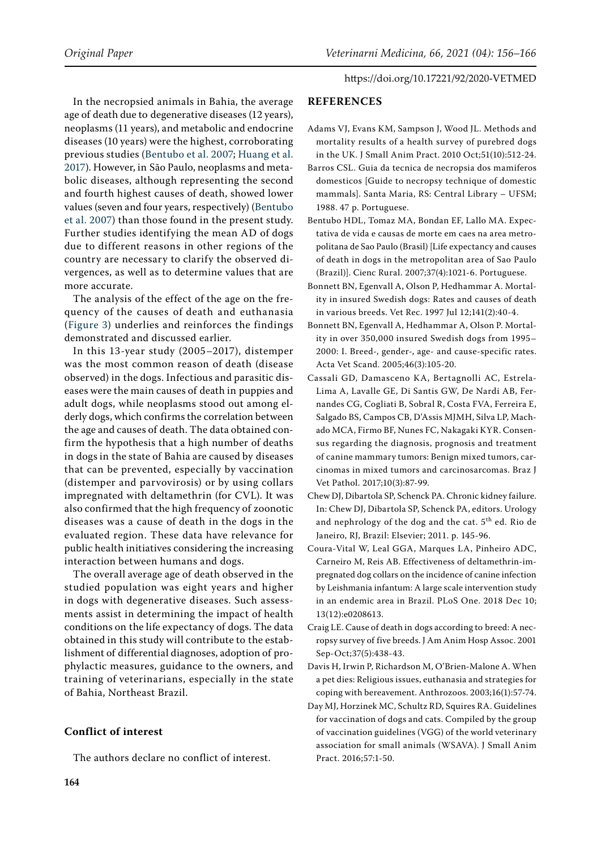In the necropsied animals in Bahia, the average age of death due to degenerative diseases (12 years), neoplasms (11 years), and metabolic and endocrine diseases (10 years) were the highest, corroborating previous studies ([Bentubo et al. 2007](#page-8-4); [Huang et al.](#page-9-7)  [2017\)](#page-9-7). However, in São Paulo, neoplasms and metabolic diseases, although representing the second and fourth highest causes of death, showed lower values (seven and four years, respectively) ([Bentubo](#page-8-4)  [et al. 2007\)](#page-8-4) than those found in the present study. Further studies identifying the mean AD of dogs due to different reasons in other regions of the country are necessary to clarify the observed divergences, as well as to determine values that are more accurate.

The analysis of the effect of the age on the frequency of the causes of death and euthanasia ([Figure 3\)](#page-4-0) underlies and reinforces the findings demonstrated and discussed earlier.

In this 13-year study (2005–2017), distemper was the most common reason of death (disease observed) in the dogs. Infectious and parasitic diseases were the main causes of death in puppies and adult dogs, while neoplasms stood out among elderly dogs, which confirms the correlation between the age and causes of death. The data obtained confirm the hypothesis that a high number of deaths in dogs in the state of Bahia are caused by diseases that can be prevented, especially by vaccination (distemper and parvovirosis) or by using collars impregnated with deltamethrin (for CVL). It was also confirmed that the high frequency of zoonotic diseases was a cause of death in the dogs in the evaluated region. These data have relevance for public health initiatives considering the increasing interaction between humans and dogs.

The overall average age of death observed in the studied population was eight years and higher in dogs with degenerative diseases. Such assessments assist in determining the impact of health conditions on the life expectancy of dogs. The data obtained in this study will contribute to the establishment of differential diagnoses, adoption of prophylactic measures, guidance to the owners, and training of veterinarians, especially in the state of Bahia, Northeast Brazil.

# **Conflict of interest**

The authors declare no conflict of interest.

#### https://doi.org/10.17221/92/2020-VETMED

#### **REFERENCES**

- <span id="page-8-10"></span>Adams VJ, Evans KM, Sampson J, Wood JL. Methods and mortality results of a health survey of purebred dogs in the UK. J Small Anim Pract. 2010 Oct;51(10):512-24.
- <span id="page-8-1"></span>Barros CSL. Guia da tecnica de necropsia dos mamiferos domesticos [Guide to necropsy technique of domestic mammals]. Santa Maria, RS: Central Library – UFSM; 1988. 47 p. Portuguese.
- <span id="page-8-4"></span>Bentubo HDL, Tomaz MA, Bondan EF, Lallo MA. Expectativa de vida e causas de morte em caes na area metropolitana de Sao Paulo (Brasil) [Life expectancy and causes of death in dogs in the metropolitan area of Sao Paulo (Brazil)]. Cienc Rural. 2007;37(4):1021-6. Portuguese.
- <span id="page-8-0"></span>Bonnett BN, Egenvall A, Olson P, Hedhammar A. Mortality in insured Swedish dogs: Rates and causes of death in various breeds. Vet Rec. 1997 Jul 12;141(2):40-4.
- <span id="page-8-3"></span>Bonnett BN, Egenvall A, Hedhammar A, Olson P. Mortality in over 350,000 insured Swedish dogs from 1995– 2000: I. Breed-, gender-, age- and cause-specific rates. Acta Vet Scand. 2005;46(3):105-20.
- <span id="page-8-8"></span>Cassali GD, Damasceno KA, Bertagnolli AC, Estrela-Lima A, Lavalle GE, Di Santis GW, De Nardi AB, Fernandes CG, Cogliati B, Sobral R, Costa FVA, Ferreira E, Salgado BS, Campos CB, D'Assis MJMH, Silva LP, Machado MCA, Firmo BF, Nunes FC, Nakagaki KYR. Consensus regarding the diagnosis, prognosis and treatment of canine mammary tumors: Benign mixed tumors, carcinomas in mixed tumors and carcinosarcomas. Braz J Vet Pathol. 2017;10(3):87-99.
- <span id="page-8-9"></span>Chew DJ, Dibartola SP, Schenck PA. Chronic kidney failure. In: Chew DJ, Dibartola SP, Schenck PA, editors. Urology and nephrology of the dog and the cat. 5<sup>th</sup> ed. Rio de Janeiro, RJ, Brazil: Elsevier; 2011. p. 145-96.
- <span id="page-8-7"></span>Coura-Vital W, Leal GGA, Marques LA, Pinheiro ADC, Carneiro M, Reis AB. Effectiveness of deltamethrin-impregnated dog collars on the incidence of canine infection by Leishmania infantum: A large scale intervention study in an endemic area in Brazil. PLoS One. 2018 Dec 10; 13(12):e0208613.
- <span id="page-8-2"></span>Craig LE. Cause of death in dogs according to breed: A necropsy survey of five breeds. J Am Anim Hosp Assoc. 2001 Sep-Oct;37(5):438-43.
- <span id="page-8-5"></span>Davis H, Irwin P, Richardson M, O'Brien-Malone A. When a pet dies: Religious issues, euthanasia and strategies for coping with bereavement. Anthrozoos. 2003;16(1):57-74.
- <span id="page-8-6"></span>Day MJ, Horzinek MC, Schultz RD, Squires RA. Guidelines for vaccination of dogs and cats. Compiled by the group of vaccination guidelines (VGG) of the world veterinary association for small animals (WSAVA). J Small Anim Pract. 2016;57:1-50.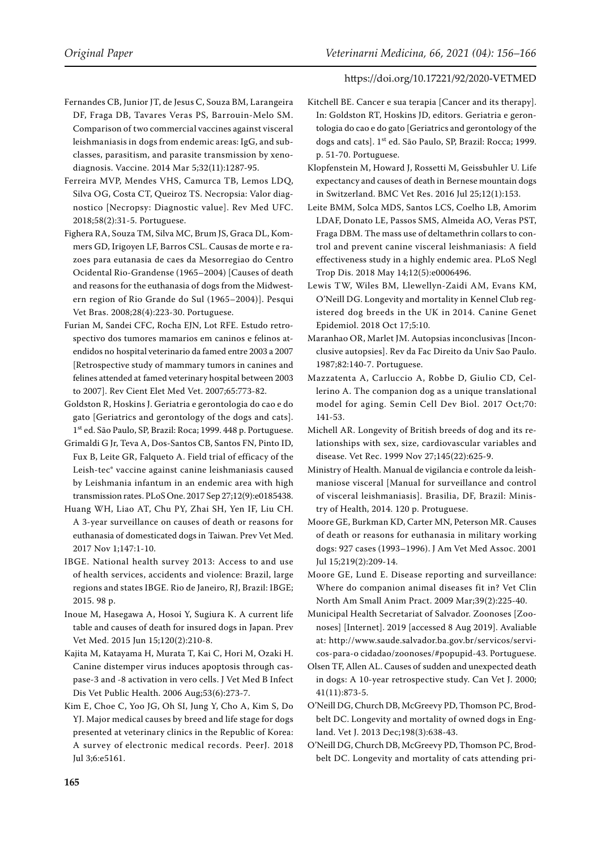- <span id="page-9-15"></span>Fernandes CB, Junior JT, de Jesus C, Souza BM, Larangeira DF, Fraga DB, Tavares Veras PS, Barrouin-Melo SM. Comparison of two commercial vaccines against visceral leishmaniasis in dogs from endemic areas: IgG, and subclasses, parasitism, and parasite transmission by xenodiagnosis. Vaccine. 2014 Mar 5;32(11):1287-95.
- <span id="page-9-9"></span>Ferreira MVP, Mendes VHS, Camurca TB, Lemos LDQ, Silva OG, Costa CT, Queiroz TS. Necropsia: Valor diagnostico [Necropsy: Diagnostic value]. Rev Med UFC. 2018;58(2):31-5. Portuguese.
- <span id="page-9-3"></span>Fighera RA, Souza TM, Silva MC, Brum JS, Graca DL, Kommers GD, Irigoyen LF, Barros CSL. Causas de morte e razoes para eutanasia de caes da Mesorregiao do Centro Ocidental Rio-Grandense (1965–2004) [Causes of death and reasons for the euthanasia of dogs from the Midwestern region of Rio Grande do Sul (1965–2004)]. Pesqui Vet Bras. 2008;28(4):223-30. Portuguese.
- <span id="page-9-20"></span>Furian M, Sandei CFC, Rocha EJN, Lot RFE. Estudo retrospectivo dos tumores mamarios em caninos e felinos atendidos no hospital veterinario da famed entre 2003 a 2007 [Retrospective study of mammary tumors in canines and felines attended at famed veterinary hospital between 2003 to 2007]. Rev Cient Elet Med Vet. 2007;65:773-82.
- <span id="page-9-1"></span>Goldston R, Hoskins J. Geriatria e gerontologia do cao e do gato [Geriatrics and gerontology of the dogs and cats]. 1st ed. São Paulo, SP, Brazil: Roca; 1999. 448 p. Portuguese.
- <span id="page-9-16"></span>Grimaldi G Jr, Teva A, Dos-Santos CB, Santos FN, Pinto ID, Fux B, Leite GR, Falqueto A. Field trial of efficacy of the Leish-tec® vaccine against canine leishmaniasis caused by Leishmania infantum in an endemic area with high transmission rates. PLoS One. 2017 Sep 27;12(9):e0185438.
- <span id="page-9-7"></span>Huang WH, Liao AT, Chu PY, Zhai SH, Yen IF, Liu CH. A 3-year surveillance on causes of death or reasons for euthanasia of domesticated dogs in Taiwan. Prev Vet Med. 2017 Nov 1;147:1-10.
- <span id="page-9-13"></span>IBGE. National health survey 2013: Access to and use of health services, accidents and violence: Brazil, large regions and states IBGE. Rio de Janeiro, RJ, Brazil: IBGE; 2015. 98 p.
- <span id="page-9-0"></span>Inoue M, Hasegawa A, Hosoi Y, Sugiura K. A current life table and causes of death for insured dogs in Japan. Prev Vet Med. 2015 Jun 15;120(2):210-8.
- <span id="page-9-11"></span>Kajita M, Katayama H, Murata T, Kai C, Hori M, Ozaki H. Canine distemper virus induces apoptosis through caspase-3 and -8 activation in vero cells. J Vet Med B Infect Dis Vet Public Health. 2006 Aug;53(6):273-7.
- <span id="page-9-21"></span>Kim E, Choe C, Yoo JG, Oh SI, Jung Y, Cho A, Kim S, Do YJ. Major medical causes by breed and life stage for dogs presented at veterinary clinics in the Republic of Korea: A survey of electronic medical records. PeerJ. 2018 Jul 3;6:e5161.
- <span id="page-9-18"></span>Kitchell BE. Cancer e sua terapia [Cancer and its therapy]. In: Goldston RT, Hoskins JD, editors. Geriatria e gerontologia do cao e do gato [Geriatrics and gerontology of the dogs and cats]. 1<sup>st</sup> ed. São Paulo, SP, Brazil: Rocca; 1999. p. 51-70. Portuguese.
- <span id="page-9-6"></span>Klopfenstein M, Howard J, Rossetti M, Geissbuhler U. Life expectancy and causes of death in Bernese mountain dogs in Switzerland. BMC Vet Res. 2016 Jul 25;12(1):153.
- <span id="page-9-17"></span>Leite BMM, Solca MDS, Santos LCS, Coelho LB, Amorim LDAF, Donato LE, Passos SMS, Almeida AO, Veras PST, Fraga DBM. The mass use of deltamethrin collars to control and prevent canine visceral leishmaniasis: A field effectiveness study in a highly endemic area. PLoS Negl Trop Dis. 2018 May 14;12(5):e0006496.
- <span id="page-9-4"></span>Lewis TW, Wiles BM, Llewellyn-Zaidi AM, Evans KM, O'Neill DG. Longevity and mortality in Kennel Club registered dog breeds in the UK in 2014. Canine Genet Epidemiol. 2018 Oct 17;5:10.
- <span id="page-9-8"></span>Maranhao OR, Marlet JM. Autopsias inconclusivas [Inconclusive autopsies]. Rev da Fac Direito da Univ Sao Paulo. 1987;82:140-7. Portuguese.
- <span id="page-9-19"></span>Mazzatenta A, Carluccio A, Robbe D, Giulio CD, Cellerino A. The companion dog as a unique translational model for aging. Semin Cell Dev Biol. 2017 Oct;70: 141-53.
- <span id="page-9-22"></span>Michell AR. Longevity of British breeds of dog and its relationships with sex, size, cardiovascular variables and disease. Vet Rec. 1999 Nov 27;145(22):625-9.
- <span id="page-9-14"></span>Ministry of Health. Manual de vigilancia e controle da leishmaniose visceral [Manual for surveillance and control of visceral leishmaniasis]. Brasilia, DF, Brazil: Ministry of Health, 2014. 120 p. Protuguese.
- <span id="page-9-10"></span>Moore GE, Burkman KD, Carter MN, Peterson MR. Causes of death or reasons for euthanasia in military working dogs: 927 cases (1993–1996). J Am Vet Med Assoc. 2001 Jul 15;219(2):209-14.
- <span id="page-9-2"></span>Moore GE, Lund E. Disease reporting and surveillance: Where do companion animal diseases fit in? Vet Clin North Am Small Anim Pract. 2009 Mar;39(2):225-40.
- <span id="page-9-12"></span>Municipal Health Secretariat of Salvador. Zoonoses [Zoonoses] [Internet]. 2019 [accessed 8 Aug 2019]. Avaliable at: http://www.saude.salvador.ba.gov.br/servicos/servicos-para-o cidadao/zoonoses/#popupid-43. Portuguese.
- <span id="page-9-5"></span>Olsen TF, Allen AL. Causes of sudden and unexpected death in dogs: A 10-year retrospective study. Can Vet J. 2000; 41(11):873-5.
- O'Neill DG, Church DB, McGreevy PD, Thomson PC, Brodbelt DC. Longevity and mortality of owned dogs in England. Vet J. 2013 Dec;198(3):638-43.
- O'Neill DG, Church DB, McGreevy PD, Thomson PC, Brodbelt DC. Longevity and mortality of cats attending pri-